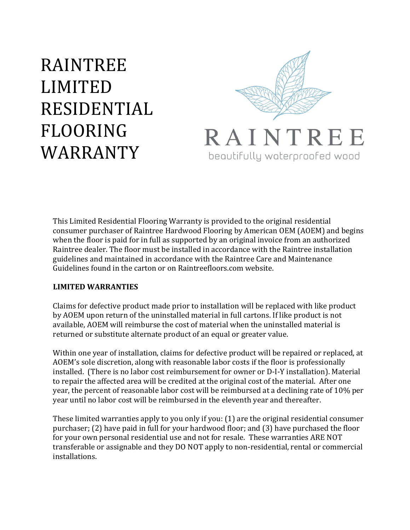# **RAINTREE** LIMITED! **RESIDENTIAL** FLOORING! WARRANTY



This Limited Residential Flooring Warranty is provided to the original residential consumer purchaser of Raintree Hardwood Flooring by American OEM (AOEM) and begins when the floor is paid for in full as supported by an original invoice from an authorized Raintree dealer. The floor must be installed in accordance with the Raintree installation guidelines and maintained in accordance with the Raintree Care and Maintenance Guidelines found in the carton or on Raintreefloors.com website.

#### **LIMITED'WARRANTIES'**

Claims for defective product made prior to installation will be replaced with like product by AOEM upon return of the uninstalled material in full cartons. If like product is not available. AOEM will reimburse the cost of material when the uninstalled material is returned or substitute alternate product of an equal or greater value.

Within one year of installation, claims for defective product will be repaired or replaced, at AOEM's sole discretion, along with reasonable labor costs if the floor is professionally installed. (There is no labor cost reimbursement for owner or D-I-Y installation). Material to repair the affected area will be credited at the original cost of the material. After one year, the percent of reasonable labor cost will be reimbursed at a declining rate of 10% per year until no labor cost will be reimbursed in the eleventh year and thereafter.

These limited warranties apply to you only if you: (1) are the original residential consumer purchaser; (2) have paid in full for your hardwood floor; and (3) have purchased the floor for your own personal residential use and not for resale. These warranties ARE NOT transferable or assignable and they DO NOT apply to non-residential, rental or commercial installations.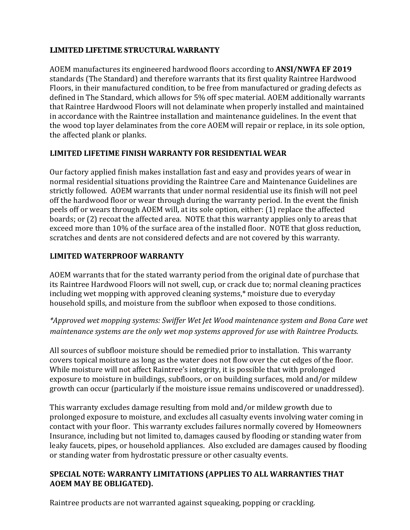#### **LIMITED LIFETIME STRUCTURAL WARRANTY**

AOEM manufactures its engineered hardwood floors according to **ANSI/NWFA EF 2019** standards (The Standard) and therefore warrants that its first quality Raintree Hardwood Floors, in their manufactured condition, to be free from manufactured or grading defects as defined in The Standard, which allows for 5% off spec material. AOEM additionally warrants that Raintree Hardwood Floors will not delaminate when properly installed and maintained in accordance with the Raintree installation and maintenance guidelines. In the event that the wood top layer delaminates from the core AOEM will repair or replace, in its sole option, the affected plank or planks.

#### **LIMITED'LIFETIME'FINISH'WARRANTY'FOR'RESIDENTIAL'WEAR**

Our factory applied finish makes installation fast and easy and provides years of wear in normal residential situations providing the Raintree Care and Maintenance Guidelines are strictly followed. AOEM warrants that under normal residential use its finish will not peel off the hardwood floor or wear through during the warranty period. In the event the finish peels off or wears through AOEM will, at its sole option, either: (1) replace the affected boards; or (2) recoat the affected area. NOTE that this warranty applies only to areas that exceed more than 10% of the surface area of the installed floor. NOTE that gloss reduction, scratches and dents are not considered defects and are not covered by this warranty.

#### **LIMITED'WATERPROOF'WARRANTY**

AOEM warrants that for the stated warranty period from the original date of purchase that its Raintree Hardwood Floors will not swell, cup, or crack due to; normal cleaning practices including wet mopping with approved cleaning systems,\* moisture due to everyday household spills, and moisture from the subfloor when exposed to those conditions.

*\*Approved wet mopping systems: Swiffer Wet Jet Wood maintenance system and Bona Care wet maintenance systems are the only wet mop systems approved for use with Raintree Products.*

All sources of subfloor moisture should be remedied prior to installation. This warranty covers topical moisture as long as the water does not flow over the cut edges of the floor. While moisture will not affect Raintree's integrity, it is possible that with prolonged exposure to moisture in buildings, subfloors, or on building surfaces, mold and/or mildew growth can occur (particularly if the moisture issue remains undiscovered or unaddressed).

This warranty excludes damage resulting from mold and/or mildew growth due to prolonged exposure to moisture, and excludes all casualty events involving water coming in contact with your floor. This warranty excludes failures normally covered by Homeowners Insurance, including but not limited to, damages caused by flooding or standing water from leaky faucets, pipes, or household appliances. Also excluded are damages caused by flooding or standing water from hydrostatic pressure or other casualty events.

#### SPECIAL NOTE: WARRANTY LIMITATIONS (APPLIES TO ALL WARRANTIES THAT AOEM MAY BE OBLIGATED).

Raintree products are not warranted against squeaking, popping or crackling.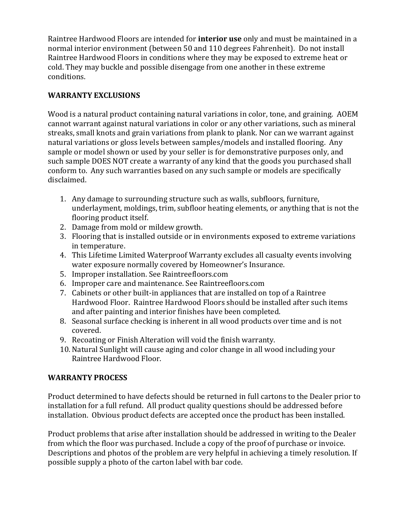Raintree Hardwood Floors are intended for **interior use** only and must be maintained in a normal interior environment (between 50 and 110 degrees Fahrenheit). Do not install Raintree Hardwood Floors in conditions where they may be exposed to extreme heat or cold. They may buckle and possible disengage from one another in these extreme conditions.

## **WARRANTY EXCLUSIONS**

Wood is a natural product containing natural variations in color, tone, and graining. AOEM cannot warrant against natural variations in color or any other variations, such as mineral streaks, small knots and grain variations from plank to plank. Nor can we warrant against natural variations or gloss levels between samples/models and installed flooring. Any sample or model shown or used by your seller is for demonstrative purposes only, and such sample DOES NOT create a warranty of any kind that the goods you purchased shall conform to. Any such warranties based on any such sample or models are specifically disclaimed.

- 1. Any damage to surrounding structure such as walls, subfloors, furniture, underlayment, moldings, trim, subfloor heating elements, or anything that is not the flooring product itself.
- 2. Damage from mold or mildew growth.
- 3. Flooring that is installed outside or in environments exposed to extreme variations in temperature.
- 4. This Lifetime Limited Waterproof Warranty excludes all casualty events involving water exposure normally covered by Homeowner's Insurance.
- 5. Improper installation. See Raintreefloors.com
- 6. Improper care and maintenance. See Raintreefloors.com
- 7. Cabinets or other built-in appliances that are installed on top of a Raintree Hardwood Floor. Raintree Hardwood Floors should be installed after such items and after painting and interior finishes have been completed.
- 8. Seasonal surface checking is inherent in all wood products over time and is not covered.
- 9. Recoating or Finish Alteration will void the finish warranty.
- 10. Natural Sunlight will cause aging and color change in all wood including your Raintree Hardwood Floor.

### **WARRANTY'PROCESS**

Product determined to have defects should be returned in full cartons to the Dealer prior to installation for a full refund. All product quality questions should be addressed before installation. Obvious product defects are accepted once the product has been installed.

Product problems that arise after installation should be addressed in writing to the Dealer from which the floor was purchased. Include a copy of the proof of purchase or invoice. Descriptions and photos of the problem are very helpful in achieving a timely resolution. If possible supply a photo of the carton label with bar code.